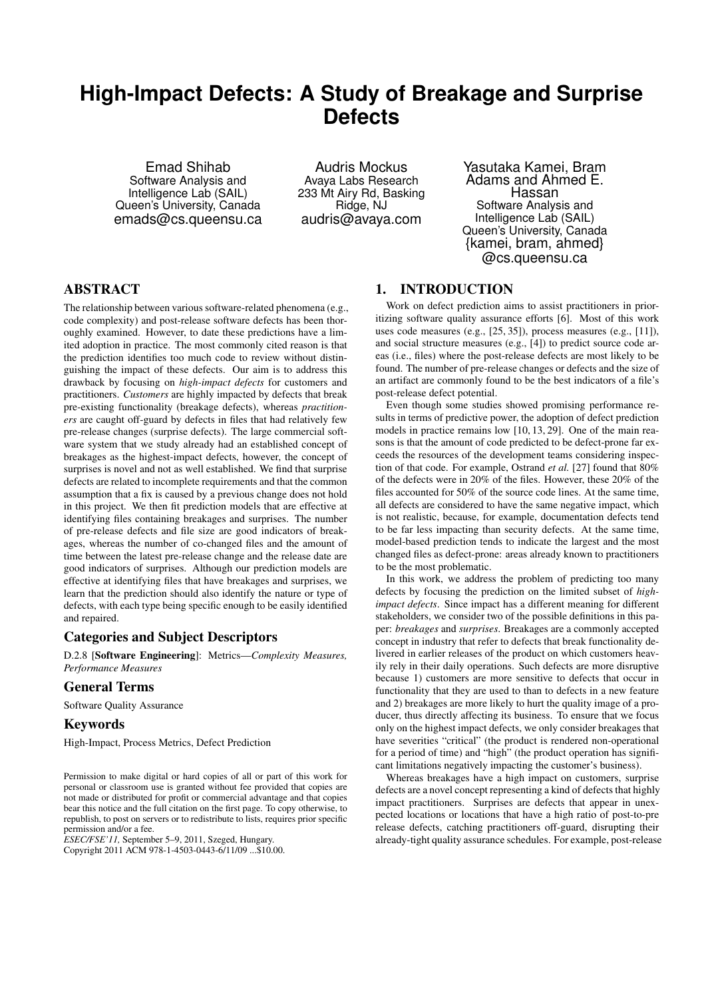# **High-Impact Defects: A Study of Breakage and Surprise Defects**

Emad Shihab Software Analysis and Intelligence Lab (SAIL) Queen's University, Canada emads@cs.queensu.ca

Audris Mockus Avaya Labs Research 233 Mt Airy Rd, Basking Ridge, NJ audris@avaya.com

Yasutaka Kamei, Bram Adams and Ahmed E. Hassan Software Analysis and Intelligence Lab (SAIL) Queen's University, Canada {kamei, bram, ahmed} @cs.queensu.ca

# ABSTRACT

The relationship between various software-related phenomena (e.g., code complexity) and post-release software defects has been thoroughly examined. However, to date these predictions have a limited adoption in practice. The most commonly cited reason is that the prediction identifies too much code to review without distinguishing the impact of these defects. Our aim is to address this drawback by focusing on *high-impact defects* for customers and practitioners. *Customers* are highly impacted by defects that break pre-existing functionality (breakage defects), whereas *practitioners* are caught off-guard by defects in files that had relatively few pre-release changes (surprise defects). The large commercial software system that we study already had an established concept of breakages as the highest-impact defects, however, the concept of surprises is novel and not as well established. We find that surprise defects are related to incomplete requirements and that the common assumption that a fix is caused by a previous change does not hold in this project. We then fit prediction models that are effective at identifying files containing breakages and surprises. The number of pre-release defects and file size are good indicators of breakages, whereas the number of co-changed files and the amount of time between the latest pre-release change and the release date are good indicators of surprises. Although our prediction models are effective at identifying files that have breakages and surprises, we learn that the prediction should also identify the nature or type of defects, with each type being specific enough to be easily identified and repaired.

# Categories and Subject Descriptors

D.2.8 [Software Engineering]: Metrics—*Complexity Measures, Performance Measures*

## General Terms

Software Quality Assurance

#### Keywords

High-Impact, Process Metrics, Defect Prediction

Permission to make digital or hard copies of all or part of this work for personal or classroom use is granted without fee provided that copies are not made or distributed for profit or commercial advantage and that copies bear this notice and the full citation on the first page. To copy otherwise, to republish, to post on servers or to redistribute to lists, requires prior specific permission and/or a fee.

*ESEC/FSE'11,* September 5–9, 2011, Szeged, Hungary.

Copyright 2011 ACM 978-1-4503-0443-6/11/09 ...\$10.00.

## 1. INTRODUCTION

Work on defect prediction aims to assist practitioners in prioritizing software quality assurance efforts [6]. Most of this work uses code measures (e.g., [25, 35]), process measures (e.g., [11]), and social structure measures (e.g., [4]) to predict source code areas (i.e., files) where the post-release defects are most likely to be found. The number of pre-release changes or defects and the size of an artifact are commonly found to be the best indicators of a file's post-release defect potential.

Even though some studies showed promising performance results in terms of predictive power, the adoption of defect prediction models in practice remains low [10, 13, 29]. One of the main reasons is that the amount of code predicted to be defect-prone far exceeds the resources of the development teams considering inspection of that code. For example, Ostrand *et al.* [27] found that 80% of the defects were in 20% of the files. However, these 20% of the files accounted for 50% of the source code lines. At the same time, all defects are considered to have the same negative impact, which is not realistic, because, for example, documentation defects tend to be far less impacting than security defects. At the same time, model-based prediction tends to indicate the largest and the most changed files as defect-prone: areas already known to practitioners to be the most problematic.

In this work, we address the problem of predicting too many defects by focusing the prediction on the limited subset of *highimpact defects*. Since impact has a different meaning for different stakeholders, we consider two of the possible definitions in this paper: *breakages* and *surprises*. Breakages are a commonly accepted concept in industry that refer to defects that break functionality delivered in earlier releases of the product on which customers heavily rely in their daily operations. Such defects are more disruptive because 1) customers are more sensitive to defects that occur in functionality that they are used to than to defects in a new feature and 2) breakages are more likely to hurt the quality image of a producer, thus directly affecting its business. To ensure that we focus only on the highest impact defects, we only consider breakages that have severities "critical" (the product is rendered non-operational for a period of time) and "high" (the product operation has significant limitations negatively impacting the customer's business).

Whereas breakages have a high impact on customers, surprise defects are a novel concept representing a kind of defects that highly impact practitioners. Surprises are defects that appear in unexpected locations or locations that have a high ratio of post-to-pre release defects, catching practitioners off-guard, disrupting their already-tight quality assurance schedules. For example, post-release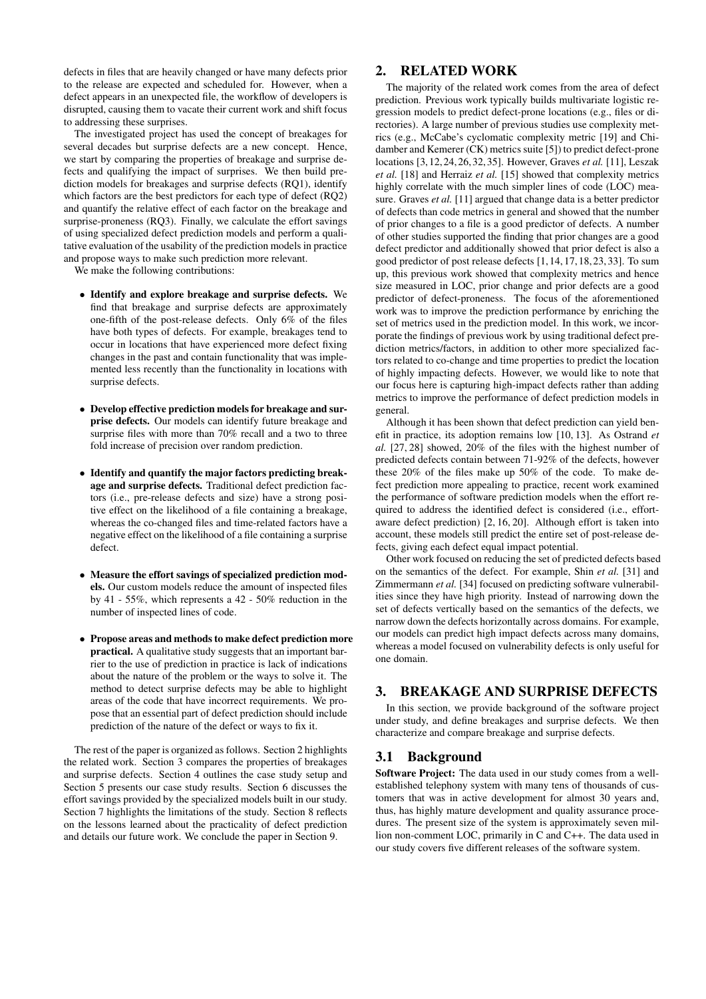defects in files that are heavily changed or have many defects prior to the release are expected and scheduled for. However, when a defect appears in an unexpected file, the workflow of developers is disrupted, causing them to vacate their current work and shift focus to addressing these surprises.

The investigated project has used the concept of breakages for several decades but surprise defects are a new concept. Hence, we start by comparing the properties of breakage and surprise defects and qualifying the impact of surprises. We then build prediction models for breakages and surprise defects (RQ1), identify which factors are the best predictors for each type of defect (RQ2) and quantify the relative effect of each factor on the breakage and surprise-proneness (RQ3). Finally, we calculate the effort savings of using specialized defect prediction models and perform a qualitative evaluation of the usability of the prediction models in practice and propose ways to make such prediction more relevant.

We make the following contributions:

- *•* Identify and explore breakage and surprise defects. We find that breakage and surprise defects are approximately one-fifth of the post-release defects. Only  $6\%$  of the files have both types of defects. For example, breakages tend to occur in locations that have experienced more defect fixing changes in the past and contain functionality that was implemented less recently than the functionality in locations with surprise defects.
- *•* Develop effective prediction models for breakage and surprise defects. Our models can identify future breakage and surprise files with more than 70% recall and a two to three fold increase of precision over random prediction.
- *•* Identify and quantify the major factors predicting breakage and surprise defects. Traditional defect prediction factors (i.e., pre-release defects and size) have a strong positive effect on the likelihood of a file containing a breakage, whereas the co-changed files and time-related factors have a negative effect on the likelihood of a file containing a surprise defect.
- *•* Measure the effort savings of specialized prediction models. Our custom models reduce the amount of inspected files by 41 - 55%, which represents a 42 - 50% reduction in the number of inspected lines of code.
- *•* Propose areas and methods to make defect prediction more practical. A qualitative study suggests that an important barrier to the use of prediction in practice is lack of indications about the nature of the problem or the ways to solve it. The method to detect surprise defects may be able to highlight areas of the code that have incorrect requirements. We propose that an essential part of defect prediction should include prediction of the nature of the defect or ways to fix it.

The rest of the paper is organized as follows. Section 2 highlights the related work. Section 3 compares the properties of breakages and surprise defects. Section 4 outlines the case study setup and Section 5 presents our case study results. Section 6 discusses the effort savings provided by the specialized models built in our study. Section 7 highlights the limitations of the study. Section 8 reflects on the lessons learned about the practicality of defect prediction and details our future work. We conclude the paper in Section 9.

# 2. RELATED WORK

The majority of the related work comes from the area of defect prediction. Previous work typically builds multivariate logistic regression models to predict defect-prone locations (e.g., files or directories). A large number of previous studies use complexity metrics (e.g., McCabe's cyclomatic complexity metric [19] and Chidamber and Kemerer (CK) metrics suite [5]) to predict defect-prone locations [3, 12, 24, 26, 32, 35]. However, Graves *et al.* [11], Leszak *et al.* [18] and Herraiz *et al.* [15] showed that complexity metrics highly correlate with the much simpler lines of code (LOC) measure. Graves *et al.* [11] argued that change data is a better predictor of defects than code metrics in general and showed that the number of prior changes to a file is a good predictor of defects. A number of other studies supported the finding that prior changes are a good defect predictor and additionally showed that prior defect is also a good predictor of post release defects [1, 14, 17, 18, 23, 33]. To sum up, this previous work showed that complexity metrics and hence size measured in LOC, prior change and prior defects are a good predictor of defect-proneness. The focus of the aforementioned work was to improve the prediction performance by enriching the set of metrics used in the prediction model. In this work, we incorporate the findings of previous work by using traditional defect prediction metrics/factors, in addition to other more specialized factors related to co-change and time properties to predict the location of highly impacting defects. However, we would like to note that our focus here is capturing high-impact defects rather than adding metrics to improve the performance of defect prediction models in general.

Although it has been shown that defect prediction can yield benefit in practice, its adoption remains low [10, 13]. As Ostrand *et al.* [27, 28] showed, 20% of the files with the highest number of predicted defects contain between 71-92% of the defects, however these 20% of the files make up 50% of the code. To make defect prediction more appealing to practice, recent work examined the performance of software prediction models when the effort required to address the identified defect is considered (i.e., effortaware defect prediction) [2, 16, 20]. Although effort is taken into account, these models still predict the entire set of post-release defects, giving each defect equal impact potential.

Other work focused on reducing the set of predicted defects based on the semantics of the defect. For example, Shin *et al.* [31] and Zimmermann *et al.* [34] focused on predicting software vulnerabilities since they have high priority. Instead of narrowing down the set of defects vertically based on the semantics of the defects, we narrow down the defects horizontally across domains. For example, our models can predict high impact defects across many domains, whereas a model focused on vulnerability defects is only useful for one domain.

## 3. BREAKAGE AND SURPRISE DEFECTS

In this section, we provide background of the software project under study, and define breakages and surprise defects. We then characterize and compare breakage and surprise defects.

## 3.1 Background

Software Project: The data used in our study comes from a wellestablished telephony system with many tens of thousands of customers that was in active development for almost 30 years and, thus, has highly mature development and quality assurance procedures. The present size of the system is approximately seven million non-comment LOC, primarily in C and C++. The data used in our study covers five different releases of the software system.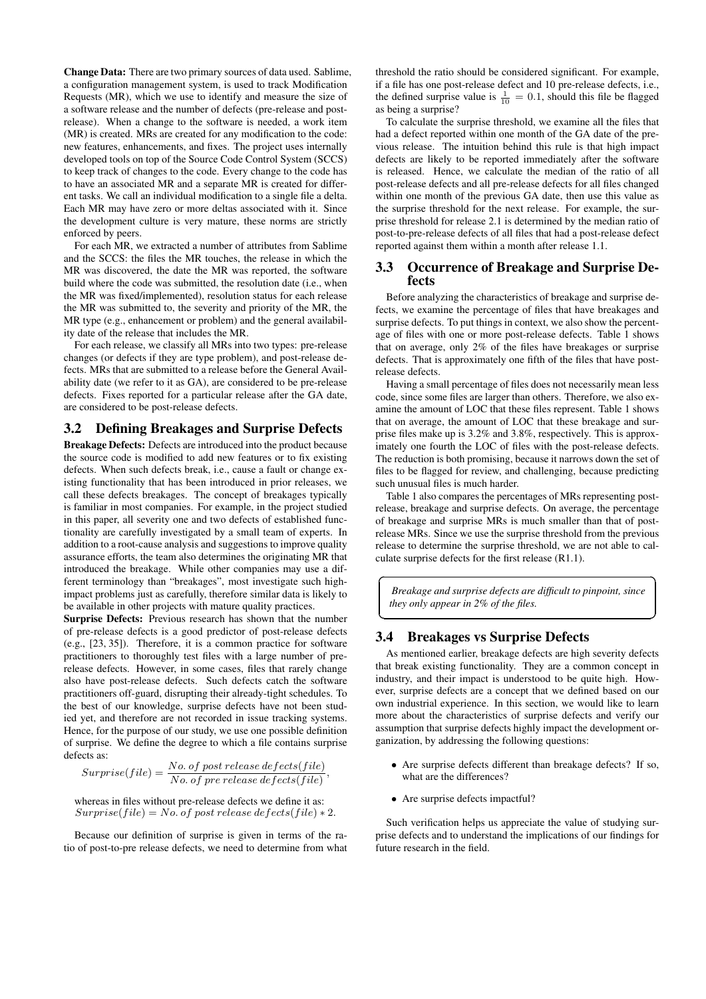Change Data: There are two primary sources of data used. Sablime, a configuration management system, is used to track Modification Requests (MR), which we use to identify and measure the size of a software release and the number of defects (pre-release and postrelease). When a change to the software is needed, a work item (MR) is created. MRs are created for any modification to the code: new features, enhancements, and fixes. The project uses internally developed tools on top of the Source Code Control System (SCCS) to keep track of changes to the code. Every change to the code has to have an associated MR and a separate MR is created for different tasks. We call an individual modification to a single file a delta. Each MR may have zero or more deltas associated with it. Since the development culture is very mature, these norms are strictly enforced by peers.

For each MR, we extracted a number of attributes from Sablime and the SCCS: the files the MR touches, the release in which the MR was discovered, the date the MR was reported, the software build where the code was submitted, the resolution date (i.e., when the MR was fixed/implemented), resolution status for each release the MR was submitted to, the severity and priority of the MR, the MR type (e.g., enhancement or problem) and the general availability date of the release that includes the MR.

For each release, we classify all MRs into two types: pre-release changes (or defects if they are type problem), and post-release defects. MRs that are submitted to a release before the General Availability date (we refer to it as GA), are considered to be pre-release defects. Fixes reported for a particular release after the GA date, are considered to be post-release defects.

#### 3.2 Defining Breakages and Surprise Defects

Breakage Defects: Defects are introduced into the product because the source code is modified to add new features or to fix existing defects. When such defects break, i.e., cause a fault or change existing functionality that has been introduced in prior releases, we call these defects breakages. The concept of breakages typically is familiar in most companies. For example, in the project studied in this paper, all severity one and two defects of established functionality are carefully investigated by a small team of experts. In addition to a root-cause analysis and suggestions to improve quality assurance efforts, the team also determines the originating MR that introduced the breakage. While other companies may use a different terminology than "breakages", most investigate such highimpact problems just as carefully, therefore similar data is likely to be available in other projects with mature quality practices.

Surprise Defects: Previous research has shown that the number of pre-release defects is a good predictor of post-release defects (e.g., [23, 35]). Therefore, it is a common practice for software practitioners to thoroughly test files with a large number of prerelease defects. However, in some cases, files that rarely change also have post-release defects. Such defects catch the software practitioners off-guard, disrupting their already-tight schedules. To the best of our knowledge, surprise defects have not been studied yet, and therefore are not recorded in issue tracking systems. Hence, for the purpose of our study, we use one possible definition of surprise. We define the degree to which a file contains surprise defects as:

$$
Surprise(file) = \frac{No. of\ post\ release\ defects(file)}{No. of\ pre\ release\ defects(file)},
$$

whereas in files without pre-release defects we define it as:  $Surrence(file) = No. of post release defects(file) * 2.$ 

Because our definition of surprise is given in terms of the ratio of post-to-pre release defects, we need to determine from what

threshold the ratio should be considered significant. For example, if a file has one post-release defect and 10 pre-release defects, i.e., the defined surprise value is  $\frac{1}{10} = 0.1$ , should this file be flagged as being a surprise?

To calculate the surprise threshold, we examine all the files that had a defect reported within one month of the GA date of the previous release. The intuition behind this rule is that high impact defects are likely to be reported immediately after the software is released. Hence, we calculate the median of the ratio of all post-release defects and all pre-release defects for all files changed within one month of the previous GA date, then use this value as the surprise threshold for the next release. For example, the surprise threshold for release 2.1 is determined by the median ratio of post-to-pre-release defects of all files that had a post-release defect reported against them within a month after release 1.1.

#### 3.3 Occurrence of Breakage and Surprise Defects

Before analyzing the characteristics of breakage and surprise defects, we examine the percentage of files that have breakages and surprise defects. To put things in context, we also show the percentage of files with one or more post-release defects. Table 1 shows that on average, only 2% of the files have breakages or surprise defects. That is approximately one fifth of the files that have postrelease defects.

Having a small percentage of files does not necessarily mean less code, since some files are larger than others. Therefore, we also examine the amount of LOC that these files represent. Table 1 shows that on average, the amount of LOC that these breakage and surprise files make up is 3.2% and 3.8%, respectively. This is approximately one fourth the LOC of files with the post-release defects. The reduction is both promising, because it narrows down the set of files to be flagged for review, and challenging, because predicting such unusual files is much harder.

Table 1 also compares the percentages of MRs representing postrelease, breakage and surprise defects. On average, the percentage of breakage and surprise MRs is much smaller than that of postrelease MRs. Since we use the surprise threshold from the previous release to determine the surprise threshold, we are not able to calculate surprise defects for the first release (R1.1).

*Breakage and surprise defects are difficult to pinpoint, since they only appear in 2% of the files.*

**☎**

**✆**

## 3.4 Breakages vs Surprise Defects

**✞**

**✝**

As mentioned earlier, breakage defects are high severity defects that break existing functionality. They are a common concept in industry, and their impact is understood to be quite high. However, surprise defects are a concept that we defined based on our own industrial experience. In this section, we would like to learn more about the characteristics of surprise defects and verify our assumption that surprise defects highly impact the development organization, by addressing the following questions:

- *•* Are surprise defects different than breakage defects? If so, what are the differences?
- *•* Are surprise defects impactful?

Such verification helps us appreciate the value of studying surprise defects and to understand the implications of our findings for future research in the field.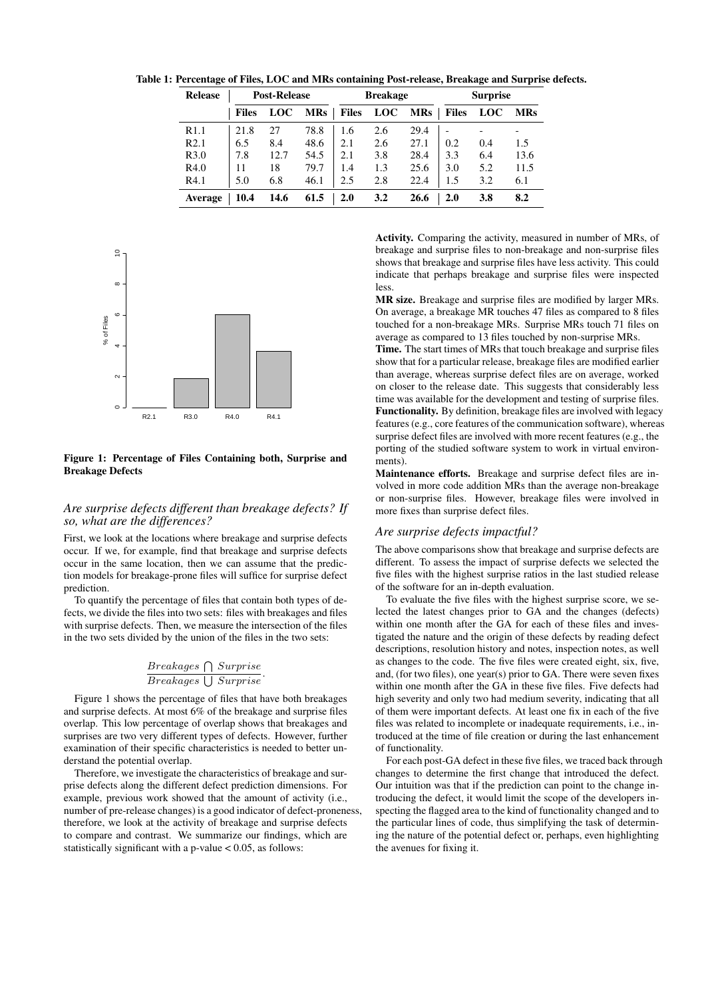| <b>Release</b> |              | <b>Post-Release</b> |            | <b>Breakage</b> |            |            | <b>Surprise</b> |            |            |  |
|----------------|--------------|---------------------|------------|-----------------|------------|------------|-----------------|------------|------------|--|
|                | <b>Files</b> | LOC                 | <b>MRs</b> | <b>Files</b>    | <b>LOC</b> | <b>MRs</b> | <b>Files</b>    | <b>LOC</b> | <b>MRs</b> |  |
| R1.1           | 21.8         | 27                  | 78.8       | 1.6             | 2.6        | 29.4       |                 |            |            |  |
| R2.1           | 6.5          | 8.4                 | 48.6       | 2.1             | 2.6        | 27.1       | 0.2             | 0.4        | 1.5        |  |
| R3.0           | 7.8          | 12.7                | 54.5       | 2.1             | 3.8        | 28.4       | 3.3             | 6.4        | 13.6       |  |
| R4.0           | 11           | 18                  | 79.7       | 1.4             | 1.3        | 25.6       | 3.0             | 5.2        | 11.5       |  |
| R4.1           | 5.0          | 6.8                 | 46.1       | 2.5             | 2.8        | 22.4       | 1.5             | 3.2        | 6.1        |  |
| Average        | 10.4         | 14.6                | 61.5       | 2.0             | 3.2        | 26.6       | 2.0             | 3.8        | 8.2        |  |

Table 1: Percentage of Files, LOC and MRs containing Post-release, Breakage and Surprise defects.



#### Figure 1: Percentage of Files Containing both, Surprise and Breakage Defects

#### *Are surprise defects different than breakage defects? If so, what are the differences?*

First, we look at the locations where breakage and surprise defects occur. If we, for example, find that breakage and surprise defects occur in the same location, then we can assume that the prediction models for breakage-prone files will suffice for surprise defect prediction.

To quantify the percentage of files that contain both types of defects, we divide the files into two sets: files with breakages and files with surprise defects. Then, we measure the intersection of the files in the two sets divided by the union of the files in the two sets:

$$
\frac{Breakages \cap Surprise}{Breakages \cup Surprise}.
$$

Figure 1 shows the percentage of files that have both breakages and surprise defects. At most 6% of the breakage and surprise files overlap. This low percentage of overlap shows that breakages and surprises are two very different types of defects. However, further examination of their specific characteristics is needed to better understand the potential overlap.

Therefore, we investigate the characteristics of breakage and surprise defects along the different defect prediction dimensions. For example, previous work showed that the amount of activity (i.e., number of pre-release changes) is a good indicator of defect-proneness, therefore, we look at the activity of breakage and surprise defects to compare and contrast. We summarize our findings, which are statistically significant with a  $p$ -value  $< 0.05$ , as follows:

Activity. Comparing the activity, measured in number of MRs, of breakage and surprise files to non-breakage and non-surprise files shows that breakage and surprise files have less activity. This could indicate that perhaps breakage and surprise files were inspected less.

MR size. Breakage and surprise files are modified by larger MRs. On average, a breakage MR touches 47 files as compared to 8 files touched for a non-breakage MRs. Surprise MRs touch 71 files on average as compared to 13 files touched by non-surprise MRs.

Time. The start times of MRs that touch breakage and surprise files show that for a particular release, breakage files are modified earlier than average, whereas surprise defect files are on average, worked on closer to the release date. This suggests that considerably less time was available for the development and testing of surprise files. Functionality. By definition, breakage files are involved with legacy features (e.g., core features of the communication software), whereas surprise defect files are involved with more recent features (e.g., the porting of the studied software system to work in virtual environments).

Maintenance efforts. Breakage and surprise defect files are involved in more code addition MRs than the average non-breakage or non-surprise files. However, breakage files were involved in more fixes than surprise defect files.

#### *Are surprise defects impactful?*

The above comparisons show that breakage and surprise defects are different. To assess the impact of surprise defects we selected the five files with the highest surprise ratios in the last studied release of the software for an in-depth evaluation.

To evaluate the five files with the highest surprise score, we selected the latest changes prior to GA and the changes (defects) within one month after the GA for each of these files and investigated the nature and the origin of these defects by reading defect descriptions, resolution history and notes, inspection notes, as well as changes to the code. The five files were created eight, six, five, and, (for two files), one year(s) prior to GA. There were seven fixes within one month after the GA in these five files. Five defects had high severity and only two had medium severity, indicating that all of them were important defects. At least one fix in each of the five files was related to incomplete or inadequate requirements, i.e., introduced at the time of file creation or during the last enhancement of functionality.

For each post-GA defect in these five files, we traced back through changes to determine the first change that introduced the defect. Our intuition was that if the prediction can point to the change introducing the defect, it would limit the scope of the developers inspecting the flagged area to the kind of functionality changed and to the particular lines of code, thus simplifying the task of determining the nature of the potential defect or, perhaps, even highlighting the avenues for fixing it.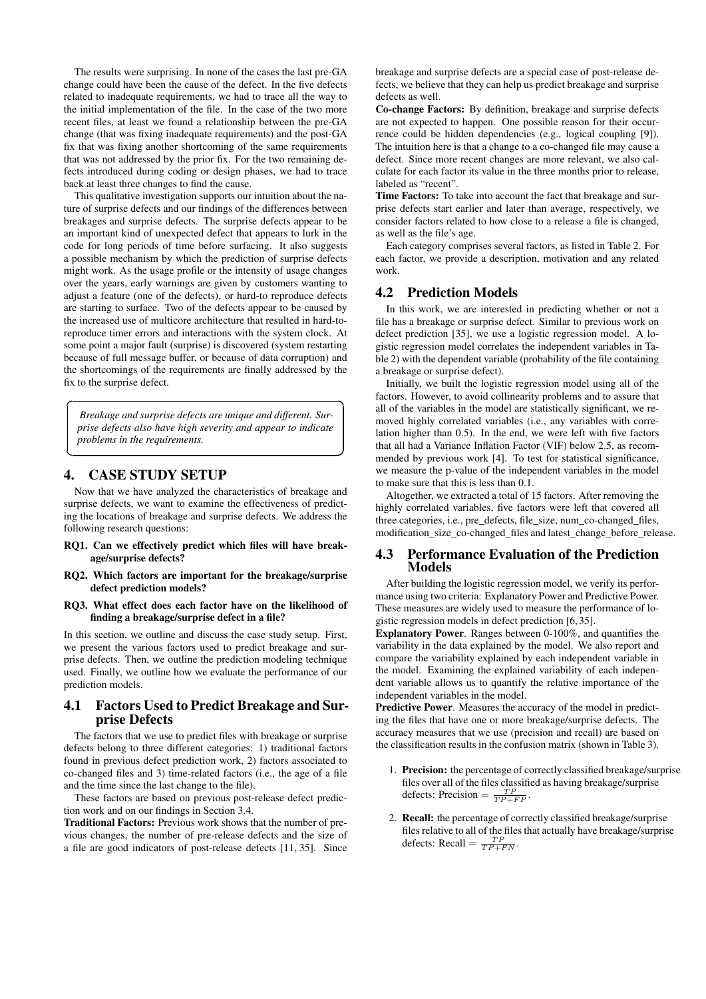The results were surprising. In none of the cases the last pre-GA change could have been the cause of the defect. In the five defects related to inadequate requirements, we had to trace all the way to the initial implementation of the file. In the case of the two more recent files, at least we found a relationship between the pre-GA change (that was fixing inadequate requirements) and the post-GA fix that was fixing another shortcoming of the same requirements that was not addressed by the prior fix. For the two remaining defects introduced during coding or design phases, we had to trace back at least three changes to find the cause.

This qualitative investigation supports our intuition about the nature of surprise defects and our findings of the differences between breakages and surprise defects. The surprise defects appear to be an important kind of unexpected defect that appears to lurk in the code for long periods of time before surfacing. It also suggests a possible mechanism by which the prediction of surprise defects might work. As the usage profile or the intensity of usage changes over the years, early warnings are given by customers wanting to adjust a feature (one of the defects), or hard-to reproduce defects are starting to surface. Two of the defects appear to be caused by the increased use of multicore architecture that resulted in hard-toreproduce timer errors and interactions with the system clock. At some point a major fault (surprise) is discovered (system restarting because of full message buffer, or because of data corruption) and the shortcomings of the requirements are finally addressed by the fix to the surprise defect.

*Breakage and surprise defects are unique and different. Surprise defects also have high severity and appear to indicate problems in the requirements.*

## 4. CASE STUDY SETUP

**✞**

**✝**

Now that we have analyzed the characteristics of breakage and surprise defects, we want to examine the effectiveness of predicting the locations of breakage and surprise defects. We address the following research questions:

- RQ1. Can we effectively predict which files will have breakage/surprise defects?
- RQ2. Which factors are important for the breakage/surprise defect prediction models?
- RQ3. What effect does each factor have on the likelihood of finding a breakage/surprise defect in a file?

In this section, we outline and discuss the case study setup. First, we present the various factors used to predict breakage and surprise defects. Then, we outline the prediction modeling technique used. Finally, we outline how we evaluate the performance of our prediction models.

## 4.1 Factors Used to Predict Breakage and Surprise Defects

The factors that we use to predict files with breakage or surprise defects belong to three different categories: 1) traditional factors found in previous defect prediction work, 2) factors associated to co-changed files and 3) time-related factors (i.e., the age of a file and the time since the last change to the file).

These factors are based on previous post-release defect prediction work and on our findings in Section 3.4.

Traditional Factors: Previous work shows that the number of previous changes, the number of pre-release defects and the size of a file are good indicators of post-release defects [11, 35]. Since

breakage and surprise defects are a special case of post-release defects, we believe that they can help us predict breakage and surprise defects as well.

Co-change Factors: By definition, breakage and surprise defects are not expected to happen. One possible reason for their occurrence could be hidden dependencies (e.g., logical coupling [9]). The intuition here is that a change to a co-changed file may cause a defect. Since more recent changes are more relevant, we also calculate for each factor its value in the three months prior to release, labeled as "recent".

Time Factors: To take into account the fact that breakage and surprise defects start earlier and later than average, respectively, we consider factors related to how close to a release a file is changed, as well as the file's age.

Each category comprises several factors, as listed in Table 2. For each factor, we provide a description, motivation and any related work.

## 4.2 Prediction Models

**☎**

**✆**

In this work, we are interested in predicting whether or not a file has a breakage or surprise defect. Similar to previous work on defect prediction [35], we use a logistic regression model. A logistic regression model correlates the independent variables in Table 2) with the dependent variable (probability of the file containing a breakage or surprise defect).

Initially, we built the logistic regression model using all of the factors. However, to avoid collinearity problems and to assure that all of the variables in the model are statistically significant, we removed highly correlated variables (i.e., any variables with correlation higher than 0.5). In the end, we were left with five factors that all had a Variance Inflation Factor (VIF) below 2.5, as recommended by previous work [4]. To test for statistical significance, we measure the p-value of the independent variables in the model to make sure that this is less than 0.1.

Altogether, we extracted a total of 15 factors. After removing the highly correlated variables, five factors were left that covered all three categories, i.e., pre\_defects, file\_size, num\_co-changed\_files, modification\_size\_co-changed\_files and latest\_change\_before\_release.

#### 4.3 Performance Evaluation of the Prediction Models

After building the logistic regression model, we verify its performance using two criteria: Explanatory Power and Predictive Power. These measures are widely used to measure the performance of logistic regression models in defect prediction [6, 35].

Explanatory Power. Ranges between 0-100%, and quantifies the variability in the data explained by the model. We also report and compare the variability explained by each independent variable in the model. Examining the explained variability of each independent variable allows us to quantify the relative importance of the independent variables in the model.

Predictive Power. Measures the accuracy of the model in predicting the files that have one or more breakage/surprise defects. The accuracy measures that we use (precision and recall) are based on the classification results in the confusion matrix (shown in Table 3).

- 1. Precision: the percentage of correctly classified breakage/surprise files over all of the files classified as having breakage/surprise defects: Precision  $= \frac{TP}{TP + FP}$ .
- 2. Recall: the percentage of correctly classified breakage/surprise files relative to all of the files that actually have breakage/surprise defects: Recall  $= \frac{TP}{TP + FN}$ .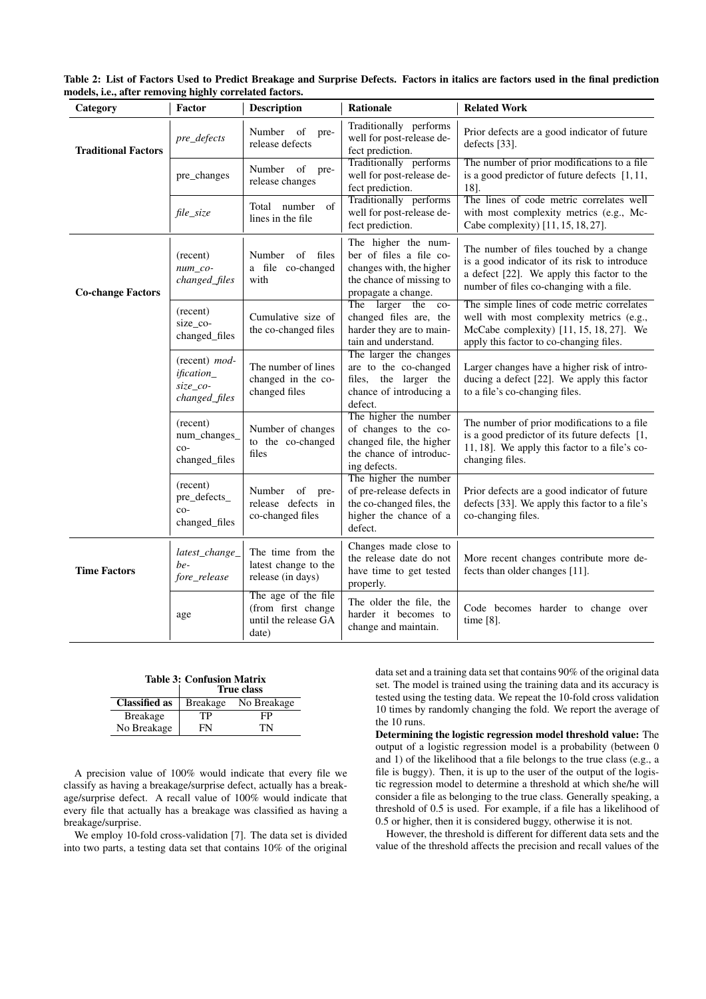| Category                   | Factor                                                    | <b>Description</b>                                                         | Rationale                                                                                                                     | <b>Related Work</b>                                                                                                                                                               |
|----------------------------|-----------------------------------------------------------|----------------------------------------------------------------------------|-------------------------------------------------------------------------------------------------------------------------------|-----------------------------------------------------------------------------------------------------------------------------------------------------------------------------------|
| <b>Traditional Factors</b> | pre_defects                                               | Number<br>of<br>pre-<br>release defects                                    | Traditionally performs<br>well for post-release de-<br>fect prediction.                                                       | Prior defects are a good indicator of future<br>defects [33].                                                                                                                     |
|                            | pre_changes                                               | Number<br>of pre-<br>release changes                                       | Traditionally performs<br>well for post-release de-<br>fect prediction.                                                       | The number of prior modifications to a file<br>is a good predictor of future defects $[1, 11]$ ,<br>18].                                                                          |
|                            | file_size                                                 | of<br>Total number<br>lines in the file                                    | Traditionally performs<br>well for post-release de-<br>fect prediction.                                                       | The lines of code metric correlates well<br>with most complexity metrics (e.g., Mc-<br>Cabe complexity) [11, 15, 18, 27].                                                         |
| <b>Co-change Factors</b>   | (recent)<br>$num\_co-$<br>changed_files                   | Number of files<br>a file co-changed<br>with                               | The higher the num-<br>ber of files a file co-<br>changes with, the higher<br>the chance of missing to<br>propagate a change. | The number of files touched by a change<br>is a good indicator of its risk to introduce<br>a defect [22]. We apply this factor to the<br>number of files co-changing with a file. |
|                            | (recent)<br>size_co-<br>changed_files                     | Cumulative size of<br>the co-changed files                                 | The larger the co-<br>changed files are, the<br>harder they are to main-<br>tain and understand.                              | The simple lines of code metric correlates<br>well with most complexity metrics (e.g.,<br>McCabe complexity) [11, 15, 18, 27]. We<br>apply this factor to co-changing files.      |
|                            | (recent) mod-<br>ification_<br>size_co-<br>changed_files  | The number of lines<br>changed in the co-<br>changed files                 | The larger the changes<br>are to the co-changed<br>files, the larger the<br>chance of introducing a<br>defect.                | Larger changes have a higher risk of intro-<br>ducing a defect [22]. We apply this factor<br>to a file's co-changing files.                                                       |
|                            | (recent)<br>num_changes_<br>$_{\rm co-}$<br>changed_files | Number of changes<br>to the co-changed<br>files                            | The higher the number<br>of changes to the co-<br>changed file, the higher<br>the chance of introduc-<br>ing defects.         | The number of prior modifications to a file<br>is a good predictor of its future defects [1,<br>11, 18]. We apply this factor to a file's co-<br>changing files.                  |
|                            | (recent)<br>pre_defects_<br>$co-$<br>changed_files        | Number<br>of<br>pre-<br>release defects in<br>co-changed files             | The higher the number<br>of pre-release defects in<br>the co-changed files, the<br>higher the chance of a<br>defect.          | Prior defects are a good indicator of future<br>defects [33]. We apply this factor to a file's<br>co-changing files.                                                              |
| <b>Time Factors</b>        | latest_change_<br>be-<br>fore_release                     | The time from the<br>latest change to the<br>release (in days)             | Changes made close to<br>the release date do not<br>have time to get tested<br>properly.                                      | More recent changes contribute more de-<br>fects than older changes [11].                                                                                                         |
|                            | age                                                       | The age of the file<br>(from first change<br>until the release GA<br>date) | The older the file, the<br>harder it becomes to<br>change and maintain.                                                       | Code becomes harder to change over<br>time [8].                                                                                                                                   |

Table 2: List of Factors Used to Predict Breakage and Surprise Defects. Factors in italics are factors used in the final prediction models, i.e., after removing highly correlated factors.

Table 3: Confusion Matrix

|                      | <b>True class</b> |                      |  |  |  |  |
|----------------------|-------------------|----------------------|--|--|--|--|
| <b>Classified as</b> |                   | Breakage No Breakage |  |  |  |  |
| <b>Breakage</b>      | TР                | FP                   |  |  |  |  |
| No Breakage          | FN                | TN                   |  |  |  |  |

A precision value of 100% would indicate that every file we classify as having a breakage/surprise defect, actually has a breakage/surprise defect. A recall value of 100% would indicate that every file that actually has a breakage was classified as having a breakage/surprise.

We employ 10-fold cross-validation [7]. The data set is divided into two parts, a testing data set that contains 10% of the original data set and a training data set that contains 90% of the original data set. The model is trained using the training data and its accuracy is tested using the testing data. We repeat the 10-fold cross validation 10 times by randomly changing the fold. We report the average of the 10 runs.

Determining the logistic regression model threshold value: The output of a logistic regression model is a probability (between 0 and 1) of the likelihood that a file belongs to the true class (e.g., a file is buggy). Then, it is up to the user of the output of the logistic regression model to determine a threshold at which she/he will consider a file as belonging to the true class. Generally speaking, a threshold of 0.5 is used. For example, if a file has a likelihood of 0.5 or higher, then it is considered buggy, otherwise it is not.

However, the threshold is different for different data sets and the value of the threshold affects the precision and recall values of the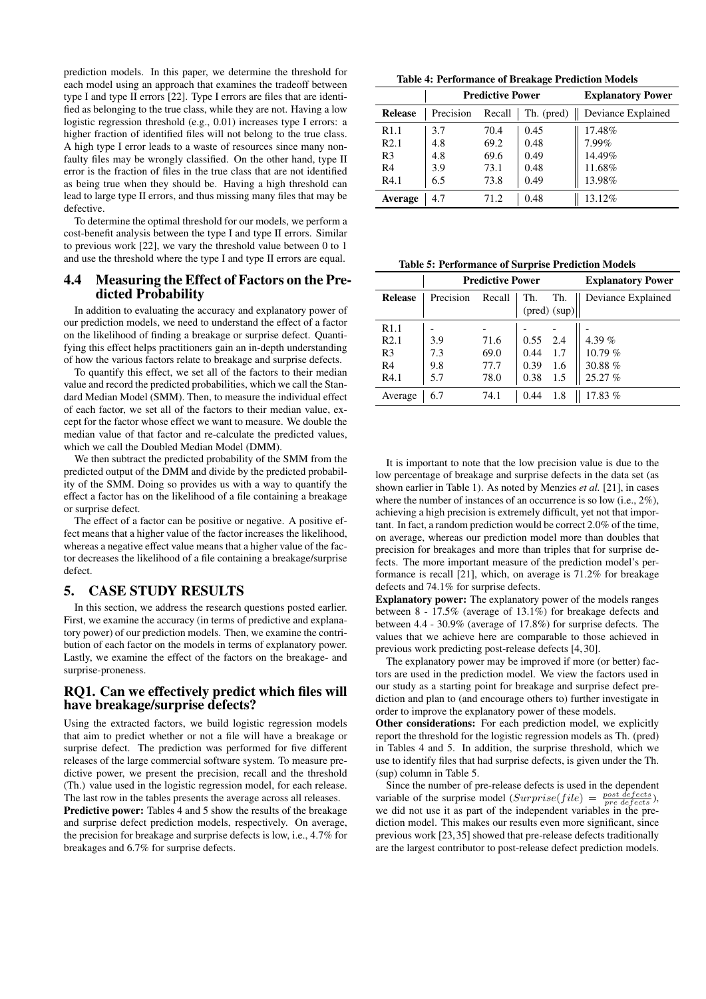prediction models. In this paper, we determine the threshold for each model using an approach that examines the tradeoff between type I and type II errors [22]. Type I errors are files that are identified as belonging to the true class, while they are not. Having a low logistic regression threshold (e.g., 0.01) increases type I errors: a higher fraction of identified files will not belong to the true class. A high type I error leads to a waste of resources since many nonfaulty files may be wrongly classified. On the other hand, type II error is the fraction of files in the true class that are not identified as being true when they should be. Having a high threshold can lead to large type II errors, and thus missing many files that may be defective.

To determine the optimal threshold for our models, we perform a cost-benefit analysis between the type I and type II errors. Similar to previous work [22], we vary the threshold value between 0 to 1 and use the threshold where the type I and type II errors are equal.

## 4.4 Measuring the Effect of Factors on the Predicted Probability

In addition to evaluating the accuracy and explanatory power of our prediction models, we need to understand the effect of a factor on the likelihood of finding a breakage or surprise defect. Quantifying this effect helps practitioners gain an in-depth understanding of how the various factors relate to breakage and surprise defects.

To quantify this effect, we set all of the factors to their median value and record the predicted probabilities, which we call the Standard Median Model (SMM). Then, to measure the individual effect of each factor, we set all of the factors to their median value, except for the factor whose effect we want to measure. We double the median value of that factor and re-calculate the predicted values, which we call the Doubled Median Model (DMM).

We then subtract the predicted probability of the SMM from the predicted output of the DMM and divide by the predicted probability of the SMM. Doing so provides us with a way to quantify the effect a factor has on the likelihood of a file containing a breakage or surprise defect.

The effect of a factor can be positive or negative. A positive effect means that a higher value of the factor increases the likelihood, whereas a negative effect value means that a higher value of the factor decreases the likelihood of a file containing a breakage/surprise defect.

#### 5. CASE STUDY RESULTS

In this section, we address the research questions posted earlier. First, we examine the accuracy (in terms of predictive and explanatory power) of our prediction models. Then, we examine the contribution of each factor on the models in terms of explanatory power. Lastly, we examine the effect of the factors on the breakage- and surprise-proneness.

## RQ1. Can we effectively predict which files will have breakage/surprise defects?

Using the extracted factors, we build logistic regression models that aim to predict whether or not a file will have a breakage or surprise defect. The prediction was performed for five different releases of the large commercial software system. To measure predictive power, we present the precision, recall and the threshold (Th.) value used in the logistic regression model, for each release. The last row in the tables presents the average across all releases.

Predictive power: Tables 4 and 5 show the results of the breakage and surprise defect prediction models, respectively. On average, the precision for breakage and surprise defects is low, i.e., 4.7% for breakages and 6.7% for surprise defects.

Table 4: Performance of Breakage Prediction Models

|                  | <b>Predictive Power</b> |        |            | <b>Explanatory Power</b> |
|------------------|-------------------------|--------|------------|--------------------------|
| <b>Release</b>   | Precision               | Recall | Th. (pred) | Deviance Explained       |
| R <sub>1.1</sub> | 3.7                     | 70.4   | 0.45       | 17.48%                   |
| R <sub>2.1</sub> | 4.8                     | 69.2   | 0.48       | 7.99%                    |
| R3               | 4.8                     | 69.6   | 0.49       | 14.49%                   |
| R4               | 3.9                     | 73.1   | 0.48       | 11.68%                   |
| R4.1             | 6.5                     | 73.8   | 0.49       | 13.98%                   |
| Average          |                         | 71.2   | 0.48       | 13.12%                   |

Table 5: Performance of Surprise Prediction Models

|                  |           | <b>Predictive Power</b> | <b>Explanatory Power</b> |                |                    |
|------------------|-----------|-------------------------|--------------------------|----------------|--------------------|
| <b>Release</b>   | Precision | Recall                  | Th.                      | Th.            | Deviance Explained |
|                  |           |                         |                          | $(pred)$ (sup) |                    |
| R <sub>1.1</sub> |           |                         |                          |                |                    |
| R <sub>2.1</sub> | 3.9       | 71.6                    | 0.55                     | 2.4            | 4.39 %             |
| R <sub>3</sub>   | 7.3       | 69.0                    | 0.44                     | 1.7            | 10.79%             |
| R4               | 9.8       | 77.7                    | 0.39                     | 1.6            | 30.88%             |
| R4.1             | 5.7       | 78.0                    | 0.38                     | 1.5            | 25.27%             |
| Average          |           | 74.1                    | 0.44                     | 1.8            | 17.83 %            |

It is important to note that the low precision value is due to the low percentage of breakage and surprise defects in the data set (as shown earlier in Table 1). As noted by Menzies *et al.* [21], in cases where the number of instances of an occurrence is so low (i.e.,  $2\%$ ), achieving a high precision is extremely difficult, yet not that important. In fact, a random prediction would be correct 2.0% of the time, on average, whereas our prediction model more than doubles that precision for breakages and more than triples that for surprise defects. The more important measure of the prediction model's performance is recall [21], which, on average is 71.2% for breakage defects and 74.1% for surprise defects.

Explanatory power: The explanatory power of the models ranges between 8 - 17.5% (average of 13.1%) for breakage defects and between 4.4 - 30.9% (average of 17.8%) for surprise defects. The values that we achieve here are comparable to those achieved in previous work predicting post-release defects [4, 30].

The explanatory power may be improved if more (or better) factors are used in the prediction model. We view the factors used in our study as a starting point for breakage and surprise defect prediction and plan to (and encourage others to) further investigate in order to improve the explanatory power of these models.

Other considerations: For each prediction model, we explicitly report the threshold for the logistic regression models as Th. (pred) in Tables 4 and 5. In addition, the surprise threshold, which we use to identify files that had surprise defects, is given under the Th. (sup) column in Table 5.

Since the number of pre-release defects is used in the dependent variable of the surprise model  $(Surprise(file) = \frac{post \, defects}{pre \, defects}$ ), we did not use it as part of the independent variables in the prediction model. This makes our results even more significant, since previous work [23,35] showed that pre-release defects traditionally are the largest contributor to post-release defect prediction models.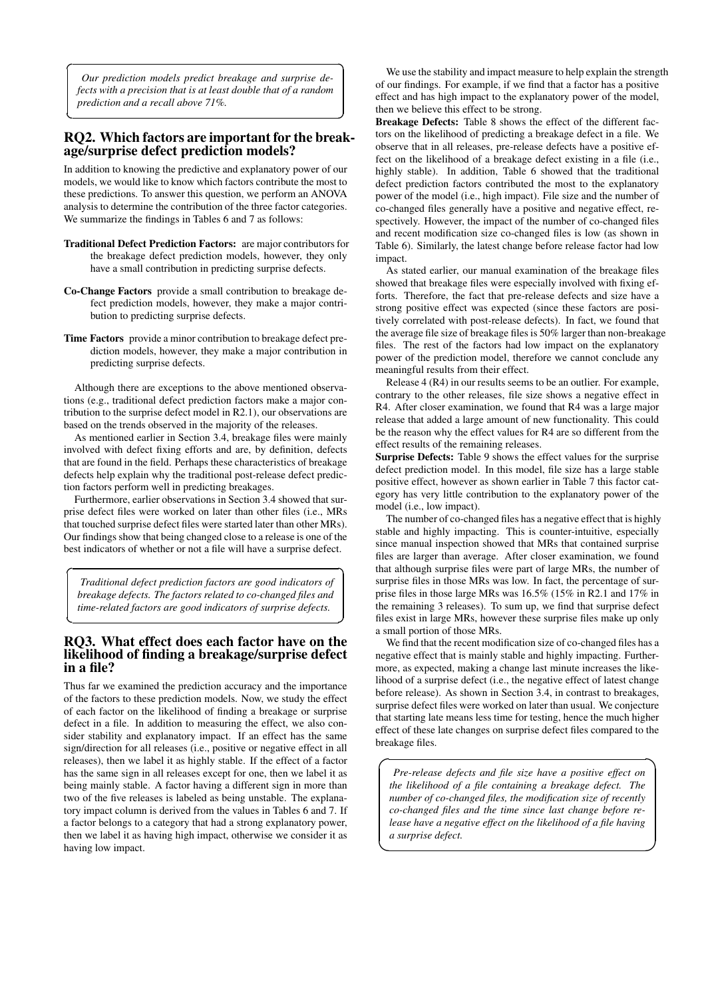*Our prediction models predict breakage and surprise defects with a precision that is at least double that of a random prediction and a recall above 71%.*

**☎**

**✆**

**☎**

**✆**

**✎**

**✍**

**✞**

**✝**

**✞**

**t** 

## RQ2. Which factors are important for the breakage/surprise defect prediction models?

In addition to knowing the predictive and explanatory power of our models, we would like to know which factors contribute the most to these predictions. To answer this question, we perform an ANOVA analysis to determine the contribution of the three factor categories. We summarize the findings in Tables 6 and 7 as follows:

- Traditional Defect Prediction Factors: are major contributors for the breakage defect prediction models, however, they only have a small contribution in predicting surprise defects.
- Co-Change Factors provide a small contribution to breakage defect prediction models, however, they make a major contribution to predicting surprise defects.
- Time Factors provide a minor contribution to breakage defect prediction models, however, they make a major contribution in predicting surprise defects.

Although there are exceptions to the above mentioned observations (e.g., traditional defect prediction factors make a major contribution to the surprise defect model in R2.1), our observations are based on the trends observed in the majority of the releases.

As mentioned earlier in Section 3.4, breakage files were mainly involved with defect fixing efforts and are, by definition, defects that are found in the field. Perhaps these characteristics of breakage defects help explain why the traditional post-release defect prediction factors perform well in predicting breakages.

Furthermore, earlier observations in Section 3.4 showed that surprise defect files were worked on later than other files (i.e., MRs that touched surprise defect files were started later than other MRs). Our findings show that being changed close to a release is one of the best indicators of whether or not a file will have a surprise defect.

*Traditional defect prediction factors are good indicators of breakage defects. The factors related to co-changed files and time-related factors are good indicators of surprise defects.*

#### RQ3. What effect does each factor have on the likelihood of finding a breakage/surprise defect in a file?

Thus far we examined the prediction accuracy and the importance of the factors to these prediction models. Now, we study the effect of each factor on the likelihood of finding a breakage or surprise defect in a file. In addition to measuring the effect, we also consider stability and explanatory impact. If an effect has the same sign/direction for all releases (i.e., positive or negative effect in all releases), then we label it as highly stable. If the effect of a factor has the same sign in all releases except for one, then we label it as being mainly stable. A factor having a different sign in more than two of the five releases is labeled as being unstable. The explanatory impact column is derived from the values in Tables 6 and 7. If a factor belongs to a category that had a strong explanatory power, then we label it as having high impact, otherwise we consider it as having low impact.

We use the stability and impact measure to help explain the strength of our findings. For example, if we find that a factor has a positive effect and has high impact to the explanatory power of the model, then we believe this effect to be strong.

Breakage Defects: Table 8 shows the effect of the different factors on the likelihood of predicting a breakage defect in a file. We observe that in all releases, pre-release defects have a positive effect on the likelihood of a breakage defect existing in a file (i.e., highly stable). In addition, Table 6 showed that the traditional defect prediction factors contributed the most to the explanatory power of the model (i.e., high impact). File size and the number of co-changed files generally have a positive and negative effect, respectively. However, the impact of the number of co-changed files and recent modification size co-changed files is low (as shown in Table 6). Similarly, the latest change before release factor had low impact.

As stated earlier, our manual examination of the breakage files showed that breakage files were especially involved with fixing efforts. Therefore, the fact that pre-release defects and size have a strong positive effect was expected (since these factors are positively correlated with post-release defects). In fact, we found that the average file size of breakage files is 50% larger than non-breakage files. The rest of the factors had low impact on the explanatory power of the prediction model, therefore we cannot conclude any meaningful results from their effect.

Release 4 (R4) in our results seems to be an outlier. For example, contrary to the other releases, file size shows a negative effect in R4. After closer examination, we found that R4 was a large major release that added a large amount of new functionality. This could be the reason why the effect values for R4 are so different from the effect results of the remaining releases.

Surprise Defects: Table 9 shows the effect values for the surprise defect prediction model. In this model, file size has a large stable positive effect, however as shown earlier in Table 7 this factor category has very little contribution to the explanatory power of the model (i.e., low impact).

The number of co-changed files has a negative effect that is highly stable and highly impacting. This is counter-intuitive, especially since manual inspection showed that MRs that contained surprise files are larger than average. After closer examination, we found that although surprise files were part of large MRs, the number of surprise files in those MRs was low. In fact, the percentage of surprise files in those large MRs was 16.5% (15% in R2.1 and 17% in the remaining 3 releases). To sum up, we find that surprise defect files exist in large MRs, however these surprise files make up only a small portion of those MRs.

We find that the recent modification size of co-changed files has a negative effect that is mainly stable and highly impacting. Furthermore, as expected, making a change last minute increases the likelihood of a surprise defect (i.e., the negative effect of latest change before release). As shown in Section 3.4, in contrast to breakages, surprise defect files were worked on later than usual. We conjecture that starting late means less time for testing, hence the much higher effect of these late changes on surprise defect files compared to the breakage files.

*Pre-release defects and file size have a positive effect on the likelihood of a file containing a breakage defect. The number of co-changed files, the modification size of recently co-changed files and the time since last change before release have a negative effect on the likelihood of a file having a surprise defect.*

**☞**

**✌**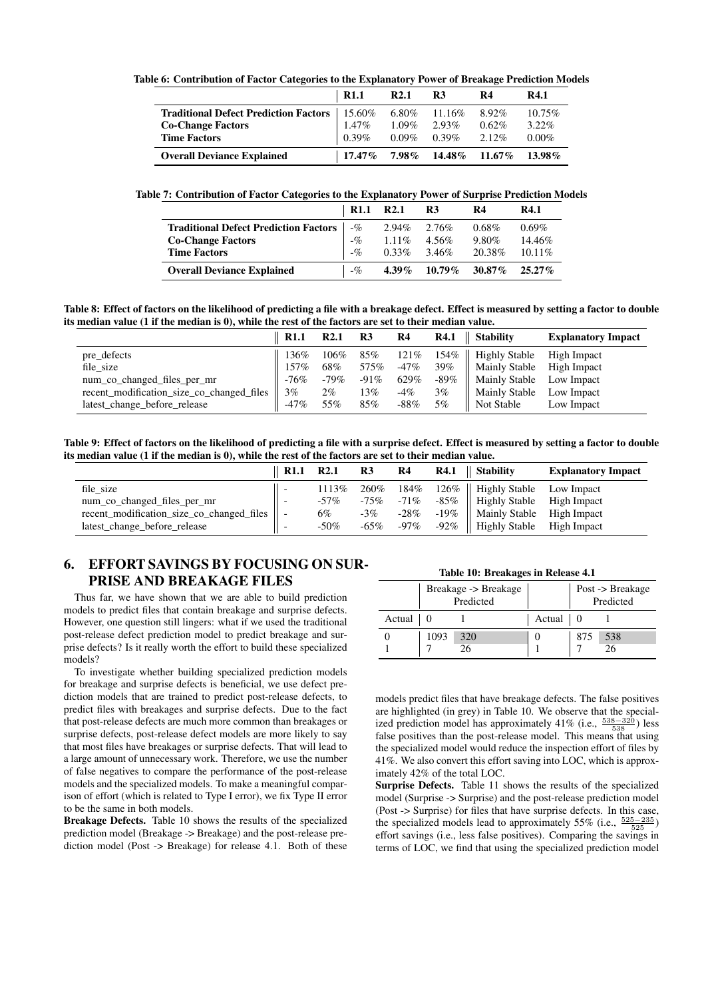|  | Table 6: Contribution of Factor Categories to the Explanatory Power of Breakage Prediction Models |  |  |  |  |  |
|--|---------------------------------------------------------------------------------------------------|--|--|--|--|--|
|  |                                                                                                   |  |  |  |  |  |

|                                                       | $\mid$ R1.1 | R <sub>2.1</sub> | R <sub>3</sub>             | R4       | <b>R4.1</b> |
|-------------------------------------------------------|-------------|------------------|----------------------------|----------|-------------|
| <b>Traditional Defect Prediction Factors   15.60%</b> |             | $6.80\%$         | 11.16%                     | 8.92%    | $10.75\%$   |
| <b>Co-Change Factors</b>                              | $1.47\%$    | 1.09%            | 2.93%                      | $0.62\%$ | $3.22\%$    |
| <b>Time Factors</b>                                   | $0.39\%$    |                  | $0.09\%$ $0.39\%$ $2.12\%$ |          | $0.00\%$    |
| <b>Overall Deviance Explained</b>                     | $17.47\%$   | $7.98\%$         | $14.48\%$ $11.67\%$        |          | $13.98\%$   |

Table 7: Contribution of Factor Categories to the Explanatory Power of Surprise Prediction Models

|                                              | <b>R1.1</b> | R2.1     | R3        | R4        | <b>R4.1</b> |
|----------------------------------------------|-------------|----------|-----------|-----------|-------------|
| <b>Traditional Defect Prediction Factors</b> | $-\%$       | 2.94%    | 2.76%     | $0.68\%$  | $0.69\%$    |
| <b>Co-Change Factors</b>                     | $-\%$       | $1.11\%$ | 4.56%     | 9.80%     | 14.46%      |
| <b>Time Factors</b>                          | $-\%$       | $0.33\%$ | 3.46%     | 20.38%    | $10.11\%$   |
| <b>Overall Deviance Explained</b>            | $-\%$       | $4.39\%$ | $10.79\%$ | $30.87\%$ | $25.27\%$   |

Table 8: Effect of factors on the likelihood of predicting a file with a breakage defect. Effect is measured by setting a factor to double its median value (1 if the median is 0), while the rest of the factors are set to their median value.

|                                           | <b>R1.1</b> | R <sub>2.1</sub> | R <sub>3</sub> | R <sub>4</sub> | <b>R4.1</b> | $\parallel$ Stability     | <b>Explanatory Impact</b> |
|-------------------------------------------|-------------|------------------|----------------|----------------|-------------|---------------------------|---------------------------|
| pre_defects                               | 136%        | $106\%$          | 85%            | 121%           |             | 154%    Highly Stable     | High Impact               |
| file size                                 | 157%        | 68%              | 575%           | $-47\%$        | 39%         | Mainly Stable High Impact |                           |
| num_co_changed_files_per_mr               | $-76\%$     | $-79\%$          | $-91\%$        | 629%           | -89%        | Mainly Stable Low Impact  |                           |
| recent_modification_size_co_changed_files | $3\%$       | $2\%$            | 13%            | $-4\%$         | $3\%$       | <b>Mainly Stable</b>      | Low Impact                |
| latest_change_before_release              | $-47\%$     | 55%              | 85%            | -88%           | 5%          | Not Stable                | Low Impact                |

Table 9: Effect of factors on the likelihood of predicting a file with a surprise defect. Effect is measured by setting a factor to double its median value (1 if the median is 0), while the rest of the factors are set to their median value.

|                                                | $R1.1$ $R2.1$ |         | R <sub>3</sub> | $\mathbf{R4}$ | $R4.1$   Stability                                   | <b>Explanatory Impact</b> |
|------------------------------------------------|---------------|---------|----------------|---------------|------------------------------------------------------|---------------------------|
| file size                                      |               | 1113%   |                |               | $260\%$ 184% 126%    Highly Stable Low Impact        |                           |
| num_co_changed_files_per_mr                    |               | $-57\%$ |                |               | $-75\%$ $-71\%$ $-85\%$    Highly Stable High Impact |                           |
| recent_modification_size_co_changed_files    - |               | 6%      | $-3\%$         |               | $-28\%$ -19%    Mainly Stable High Impact            |                           |
| latest_change_before_release                   |               | $-50\%$ |                |               | $-65\%$ $-97\%$ $-92\%$    Highly Stable High Impact |                           |

# 6. EFFORT SAVINGS BY FOCUSING ON SUR-PRISE AND BREAKAGE FILES

Thus far, we have shown that we are able to build prediction models to predict files that contain breakage and surprise defects. However, one question still lingers: what if we used the traditional post-release defect prediction model to predict breakage and surprise defects? Is it really worth the effort to build these specialized models?

To investigate whether building specialized prediction models for breakage and surprise defects is beneficial, we use defect prediction models that are trained to predict post-release defects, to predict files with breakages and surprise defects. Due to the fact that post-release defects are much more common than breakages or surprise defects, post-release defect models are more likely to say that most files have breakages or surprise defects. That will lead to a large amount of unnecessary work. Therefore, we use the number of false negatives to compare the performance of the post-release models and the specialized models. To make a meaningful comparison of effort (which is related to Type I error), we fix Type II error to be the same in both models.

Breakage Defects. Table 10 shows the results of the specialized prediction model (Breakage -> Breakage) and the post-release prediction model (Post -> Breakage) for release 4.1. Both of these

#### Table 10: Breakages in Release 4.1

|        |      | Breakage -> Breakage<br>Predicted |        |     | Post -> Breakage<br>Predicted |
|--------|------|-----------------------------------|--------|-----|-------------------------------|
| Actual |      |                                   | Actual |     |                               |
|        | 1093 | 320                               |        | 875 | 538                           |
|        |      | 26                                |        |     | $\overline{26}$               |

models predict files that have breakage defects. The false positives are highlighted (in grey) in Table 10. We observe that the specialized prediction model has approximately 41% (i.e.,  $\frac{538-320}{538}$ ) less false positives than the post-release model. This means that using the specialized model would reduce the inspection effort of files by 41%. We also convert this effort saving into LOC, which is approximately 42% of the total LOC.

Surprise Defects. Table 11 shows the results of the specialized model (Surprise -> Surprise) and the post-release prediction model (Post -> Surprise) for files that have surprise defects. In this case, the specialized models lead to approximately 55% (i.e.,  $\frac{525-235}{525}$ ) effort savings (i.e., less false positives). Comparing the savings in terms of LOC, we find that using the specialized prediction model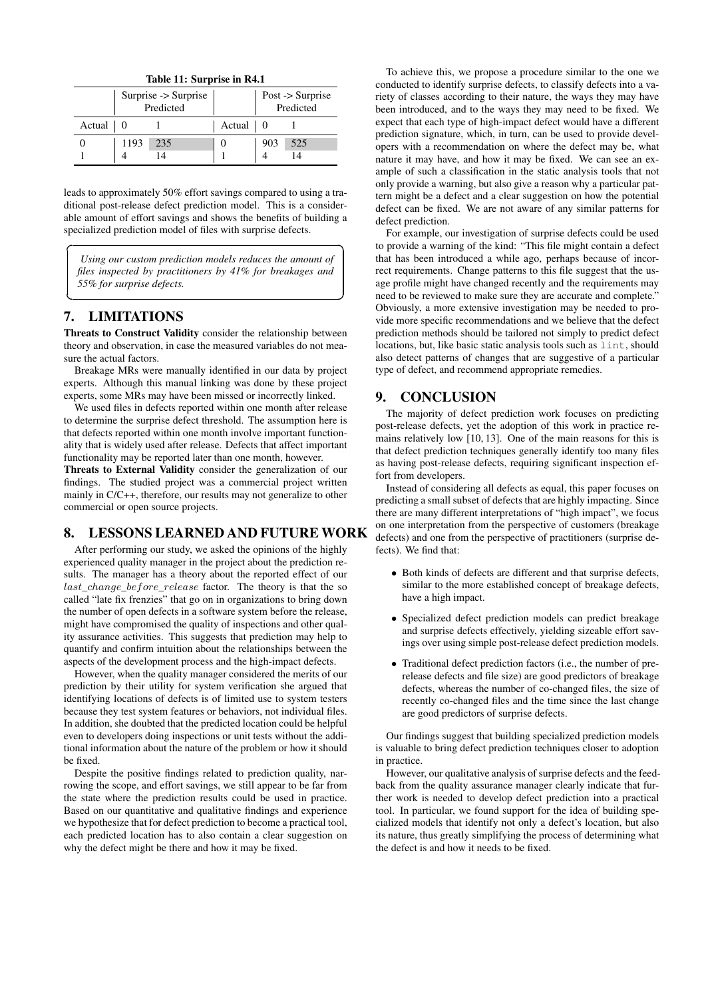|        |      | Surprise -> Surprise<br>Predicted |        |     | Post -> Surprise<br>Predicted |
|--------|------|-----------------------------------|--------|-----|-------------------------------|
| Actual |      |                                   | Actual |     |                               |
| 0      | 1193 | 235                               |        | 903 | 525                           |
|        |      |                                   |        |     |                               |

Table 11: Surprise in R4.1

leads to approximately 50% effort savings compared to using a traditional post-release defect prediction model. This is a considerable amount of effort savings and shows the benefits of building a specialized prediction model of files with surprise defects.

*Using our custom prediction models reduces the amount of files inspected by practitioners by 41% for breakages and 55% for surprise defects.*

# 7. LIMITATIONS

**✞**

**✝**

Threats to Construct Validity consider the relationship between theory and observation, in case the measured variables do not measure the actual factors.

Breakage MRs were manually identified in our data by project experts. Although this manual linking was done by these project experts, some MRs may have been missed or incorrectly linked.

We used files in defects reported within one month after release to determine the surprise defect threshold. The assumption here is that defects reported within one month involve important functionality that is widely used after release. Defects that affect important functionality may be reported later than one month, however.

Threats to External Validity consider the generalization of our findings. The studied project was a commercial project written mainly in C/C++, therefore, our results may not generalize to other commercial or open source projects.

# 8. LESSONS LEARNED AND FUTURE WORK

After performing our study, we asked the opinions of the highly experienced quality manager in the project about the prediction results. The manager has a theory about the reported effect of our *last*\_*change*\_*before*\_*release* factor. The theory is that the so called "late fix frenzies" that go on in organizations to bring down the number of open defects in a software system before the release, might have compromised the quality of inspections and other quality assurance activities. This suggests that prediction may help to quantify and confirm intuition about the relationships between the aspects of the development process and the high-impact defects.

However, when the quality manager considered the merits of our prediction by their utility for system verification she argued that identifying locations of defects is of limited use to system testers because they test system features or behaviors, not individual files. In addition, she doubted that the predicted location could be helpful even to developers doing inspections or unit tests without the additional information about the nature of the problem or how it should be fixed.

Despite the positive findings related to prediction quality, narrowing the scope, and effort savings, we still appear to be far from the state where the prediction results could be used in practice. Based on our quantitative and qualitative findings and experience we hypothesize that for defect prediction to become a practical tool, each predicted location has to also contain a clear suggestion on why the defect might be there and how it may be fixed.

To achieve this, we propose a procedure similar to the one we conducted to identify surprise defects, to classify defects into a variety of classes according to their nature, the ways they may have been introduced, and to the ways they may need to be fixed. We expect that each type of high-impact defect would have a different prediction signature, which, in turn, can be used to provide developers with a recommendation on where the defect may be, what nature it may have, and how it may be fixed. We can see an example of such a classification in the static analysis tools that not only provide a warning, but also give a reason why a particular pattern might be a defect and a clear suggestion on how the potential defect can be fixed. We are not aware of any similar patterns for defect prediction.

For example, our investigation of surprise defects could be used to provide a warning of the kind: "This file might contain a defect that has been introduced a while ago, perhaps because of incorrect requirements. Change patterns to this file suggest that the usage profile might have changed recently and the requirements may need to be reviewed to make sure they are accurate and complete." Obviously, a more extensive investigation may be needed to provide more specific recommendations and we believe that the defect prediction methods should be tailored not simply to predict defect locations, but, like basic static analysis tools such as lint, should also detect patterns of changes that are suggestive of a particular type of defect, and recommend appropriate remedies.

# 9. CONCLUSION

**☎**

**✆**

The majority of defect prediction work focuses on predicting post-release defects, yet the adoption of this work in practice remains relatively low [10, 13]. One of the main reasons for this is that defect prediction techniques generally identify too many files as having post-release defects, requiring significant inspection effort from developers.

Instead of considering all defects as equal, this paper focuses on predicting a small subset of defects that are highly impacting. Since there are many different interpretations of "high impact", we focus on one interpretation from the perspective of customers (breakage defects) and one from the perspective of practitioners (surprise defects). We find that:

- *•* Both kinds of defects are different and that surprise defects, similar to the more established concept of breakage defects, have a high impact.
- *•* Specialized defect prediction models can predict breakage and surprise defects effectively, yielding sizeable effort savings over using simple post-release defect prediction models.
- *•* Traditional defect prediction factors (i.e., the number of prerelease defects and file size) are good predictors of breakage defects, whereas the number of co-changed files, the size of recently co-changed files and the time since the last change are good predictors of surprise defects.

Our findings suggest that building specialized prediction models is valuable to bring defect prediction techniques closer to adoption in practice.

However, our qualitative analysis of surprise defects and the feedback from the quality assurance manager clearly indicate that further work is needed to develop defect prediction into a practical tool. In particular, we found support for the idea of building specialized models that identify not only a defect's location, but also its nature, thus greatly simplifying the process of determining what the defect is and how it needs to be fixed.